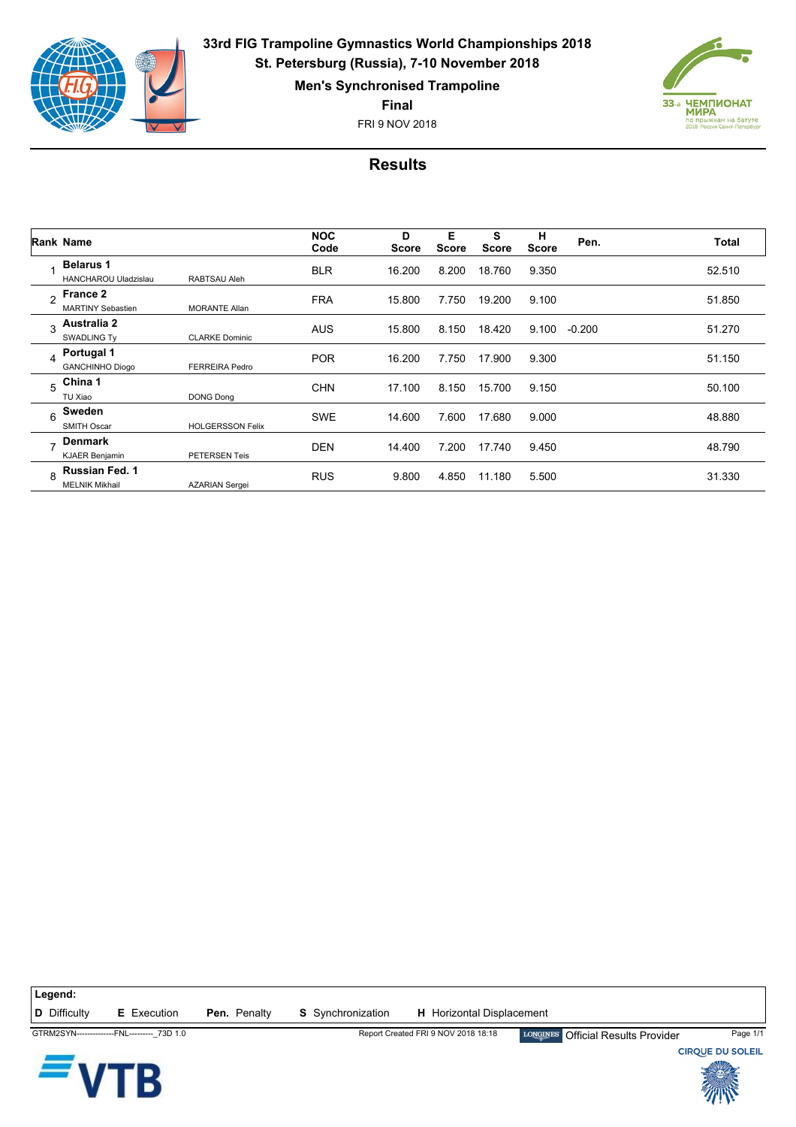

**33rd FIG Trampoline Gymnastics World Championships 2018 St. Petersburg (Russia), 7-10 November 2018**

**Men's Synchronised Trampoline**

**Final**

FRI 9 NOV 2018



## **Results**

|                | Rank Name                                       |                         | <b>NOC</b><br>Code | D<br><b>Score</b> | Е<br><b>Score</b> | s<br><b>Score</b> | н<br><b>Score</b> | Pen.     | Total  |
|----------------|-------------------------------------------------|-------------------------|--------------------|-------------------|-------------------|-------------------|-------------------|----------|--------|
|                | <b>Belarus 1</b><br><b>HANCHAROU Uladzislau</b> | <b>RABTSAU Aleh</b>     | <b>BLR</b>         | 16.200            | 8.200             | 18.760            | 9.350             |          | 52.510 |
| $\mathfrak{p}$ | <b>France 2</b><br><b>MARTINY Sebastien</b>     | <b>MORANTE Allan</b>    | <b>FRA</b>         | 15.800            | 7.750             | 19.200            | 9.100             |          | 51.850 |
| 3              | Australia 2<br><b>SWADLING Ty</b>               | <b>CLARKE Dominic</b>   | <b>AUS</b>         | 15.800            | 8.150             | 18.420            | 9.100             | $-0.200$ | 51.270 |
| 4              | Portugal 1<br><b>GANCHINHO Diogo</b>            | <b>FERREIRA Pedro</b>   | <b>POR</b>         | 16.200            | 7.750             | 17.900            | 9.300             |          | 51.150 |
| 5              | China 1<br>TU Xiao                              | <b>DONG Dong</b>        | <b>CHN</b>         | 17.100            | 8.150             | 15.700            | 9.150             |          | 50.100 |
| 6              | Sweden<br><b>SMITH Oscar</b>                    | <b>HOLGERSSON Felix</b> | <b>SWE</b>         | 14.600            | 7.600             | 17.680            | 9.000             |          | 48.880 |
| -              | <b>Denmark</b><br><b>KJAER Benjamin</b>         | <b>PETERSEN Teis</b>    | <b>DEN</b>         | 14.400            | 7.200             | 17.740            | 9.450             |          | 48.790 |
| $\mathsf{R}$   | Russian Fed. 1<br><b>MELNIK Mikhail</b>         | <b>AZARIAN Sergei</b>   | <b>RUS</b>         | 9.800             | 4.850             | 11.180            | 5.500             |          | 31.330 |

**Legend: D** Difficulty **E** Execution **Pen.** Penalty **S** Synchronization **H** Horizontal Displacement

GTRM2SYN--------------FNL---------\_73D 1.0 Report Created FRI 9 NOV 2018 18:18 Official Results Provider Page 1/1